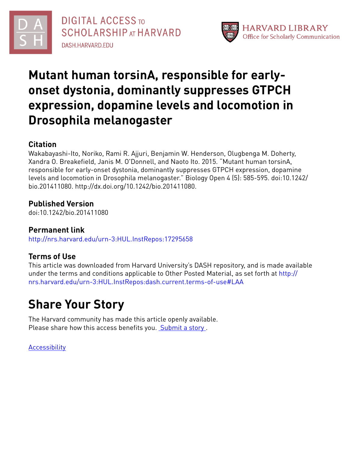

**DIGITAL ACCESS TO SCHOLARSHIP AT HARVARD** DASH.HARVARD.EDU



# **Mutant human torsinA, responsible for earlyonset dystonia, dominantly suppresses GTPCH expression, dopamine levels and locomotion in Drosophila melanogaster**

# **Citation**

Wakabayashi-Ito, Noriko, Rami R. Ajjuri, Benjamin W. Henderson, Olugbenga M. Doherty, Xandra O. Breakefield, Janis M. O'Donnell, and Naoto Ito. 2015. "Mutant human torsinA, responsible for early-onset dystonia, dominantly suppresses GTPCH expression, dopamine levels and locomotion in Drosophila melanogaster." Biology Open 4 (5): 585-595. doi:10.1242/ bio.201411080. http://dx.doi.org/10.1242/bio.201411080.

# **Published Version**

doi:10.1242/bio.201411080

# **Permanent link**

<http://nrs.harvard.edu/urn-3:HUL.InstRepos:17295658>

# **Terms of Use**

This article was downloaded from Harvard University's DASH repository, and is made available under the terms and conditions applicable to Other Posted Material, as set forth at [http://](http://nrs.harvard.edu/urn-3:HUL.InstRepos:dash.current.terms-of-use#LAA) [nrs.harvard.edu/urn-3:HUL.InstRepos:dash.current.terms-of-use#LAA](http://nrs.harvard.edu/urn-3:HUL.InstRepos:dash.current.terms-of-use#LAA)

# **Share Your Story**

The Harvard community has made this article openly available. Please share how this access benefits you. [Submit](http://osc.hul.harvard.edu/dash/open-access-feedback?handle=&title=Mutant%20human%20torsinA,%20responsible%20for%20early-onset%20dystonia,%20dominantly%20suppresses%20GTPCH%20expression,%20dopamine%20levels%20and%20locomotion%20in%20Drosophila%20melanogaster&community=1/4454685&collection=1/4454686&owningCollection1/4454686&harvardAuthors=501be7a4d662620fd1c601293719f2ab&department) a story.

**[Accessibility](https://dash.harvard.edu/pages/accessibility)**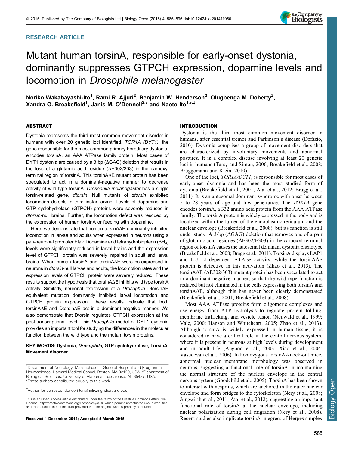# RESEARCH ARTICLE



# Mutant human torsinA, responsible for early-onset dystonia, dominantly suppresses GTPCH expression, dopamine levels and locomotion in Drosophila melanogaster

Noriko Wakabayashi-Ito $^1$ , Rami R. Ajjuri $^2$ , Benjamin W. Henderson $^2$ , Olugbenga M. Doherty $^2$ , Xandra O. Breakefield<sup>1</sup>, Janis M. O'Donnell<sup>2,</sup>\* and Naoto Ito<sup>1,</sup>\*<sup>,‡</sup>

### ABSTRACT

Dystonia represents the third most common movement disorder in humans with over 20 genetic loci identified. TOR1A (DYT1), the gene responsible for the most common primary hereditary dystonia, encodes torsinA, an AAA ATPase family protein. Most cases of DYT1 dystonia are caused by a 3 bp ( $\Delta$ GAG) deletion that results in the loss of a glutamic acid residue ( $\Delta$ E302/303) in the carboxyl terminal region of torsinA. This torsinA $\Delta$ E mutant protein has been speculated to act in a dominant-negative manner to decrease activity of wild type torsinA. Drosophila melanogaster has a single torsin-related gene, dtorsin. Null mutants of dtorsin exhibited locomotion defects in third instar larvae. Levels of dopamine and GTP cyclohydrolase (GTPCH) proteins were severely reduced in dtorsin-null brains. Further, the locomotion defect was rescued by the expression of human torsinA or feeding with dopamine.

Here, we demonstrate that human torsinAAE dominantly inhibited locomotion in larvae and adults when expressed in neurons using a pan-neuronal promoter Elav. Dopamine and tetrahydrobiopterin (BH4) levels were significantly reduced in larval brains and the expression level of GTPCH protein was severely impaired in adult and larval brains. When human torsinA and torsinA $\Delta$ E were co-expressed in neurons in dtorsin-null larvae and adults, the locomotion rates and the expression levels of GTPCH protein were severely reduced. These results support the hypothesis that torsinA $\Delta$ E inhibits wild type torsinA activity. Similarly, neuronal expression of a Drosophila Dtorsin $\Delta E$ equivalent mutation dominantly inhibited larval locomotion and GTPCH protein expression. These results indicate that both torsin $A\Delta E$  and Dtorsin $\Delta E$  act in a dominant-negative manner. We also demonstrate that Dtorsin regulates GTPCH expression at the post-transcriptional level. This Drosophila model of DYT1 dystonia provides an important tool for studying the differences in the molecular function between the wild type and the mutant torsin proteins.

## KEY WORDS: Dystonia, Drosophila, GTP cyclohydrolase, TorsinA, Movement disorder

` Author for correspondence [\(iton@helix.mgh.harvard.edu\)](mailto:iton@helix.mgh.harvard.edu)

This is an Open Access article distributed under the terms of the Creative Commons Attribution License [\(http://creativecommons.org/licenses/by/3.0\), which permits unrestricted use, distribution](http://creativecommons.org/licenses/by/3.0) [and reproduction in any medium provided that the original work is properly attributed.](http://creativecommons.org/licenses/by/3.0)

Received 1 December 2014; Accepted 5 March 2015

#### INTRODUCTION

Dystonia is the third most common movement disorder in humans, after essential tremor and Parkinson's disease [\(Defazio,](#page-10-0) [2010\)](#page-10-0). Dystonia comprises a group of movement disorders that are characterized by involuntary movements and abnormal postures. It is a complex disease involving at least 20 genetic loci in humans [\(Tarsy and Simon, 2006;](#page-11-0) [Breakefield et al., 2008](#page-10-0); Brüggemann and Klein, 2010).

One of the loci, TOR1A/DYT1, is responsible for most cases of early-onset dystonia and has been the most studied form of dystonia [\(Breakefield et al., 2001; Atai et al., 2012; Bragg et al.,](#page-10-0) [2011\)](#page-10-0). It is an autosomal dominant syndrome with onset between 5 to 28 years of age and low penetrance. The TOR1A gene encodes torsinA, a 332 amino acid protein from the AAA ATPase family. The torsinA protein is widely expressed in the body and is localized within the lumen of the endoplasmic reticulum and the nuclear envelope [\(Breakefield et al., 2008](#page-10-0)), but its function is still under study. A 3-bp ( $\Delta$ GAG) deletion that removes one of a pair of glutamic acid residues ( $\Delta$ E302/E303) in the carboxyl terminal region of torsinA causes the autosomal dominant dystonia phenotype ([Breakefield et al., 2008](#page-10-0); [Bragg et al., 2011](#page-10-0)). TorsinA displays LAP1 and LULL1-dependent ATPase activity, while the torsin $A\Delta E$ protein is defective in this activation [\(Zhao et al., 2013](#page-11-0)). The torsin $A\Delta E$  ( $\Delta E$ 302/303) mutant protein has been speculated to act in a dominant-negative manner, so that the wild type function is reduced but not eliminated in the cells expressing both torsinA and torsin $A\Delta E$ , although this has never been clearly demonstrated ([Breakefield et al., 2001](#page-10-0); [Breakefield et al., 2008](#page-10-0)).

Most AAA ATPase proteins form oligomeric complexes and use energy from ATP hydrolysis to regulate protein folding, membrane trafficking, and vesicle fusion ([Neuwald et al., 1999](#page-11-0); [Vale, 2000](#page-11-0); [Hanson and Whiteheart, 2005](#page-10-0); [Zhao et al., 2013](#page-11-0)). Although torsinA is widely expressed in human tissue, it is considered to have a critical role in the central nervous system, where it is present in neurons at high levels during development and in adult life [\(Augood et al., 2003](#page-10-0); [Xiao et al., 2004](#page-11-0); [Vasudevan et al., 2006](#page-11-0)). In homozygous torsinA-knock-out mice, abnormal nuclear membrane morphology was observed in neurons, suggesting a functional role of torsinA in maintaining the normal structure of the nuclear envelope in the central nervous system ([Goodchild et al., 2005](#page-10-0)). TorsinA has been shown to interact with nesprins, which are anchored in the outer nuclear envelope and form bridges to the cytoskeleton ([Nery et al., 2008](#page-11-0); [Jungwirth et al., 2011; Atai et al., 2012](#page-10-0)), suggesting an important functional role of torsinA at the nuclear envelope, including nuclear polarization during cell migration [\(Nery et al., 2008](#page-11-0)). Recent studies also implicate torsinA in egress of Herpes simplex

<sup>&</sup>lt;sup>1</sup>Department of Neurology, Massachusetts General Hospital and Program in Neuroscience, Harvard Medical School, Boston, MA 02129, USA. <sup>2</sup>Department of Biological Sciences, University of Alabama, Tuscaloosa, AL 35487, USA. \*These authors contributed equally to this work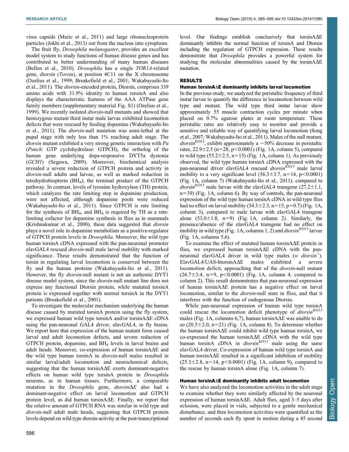virus capsids ([Maric et al., 2011\)](#page-11-0) and large ribonucleoprotein particles ([Jokhi et al., 2013\)](#page-10-0) out from the nucleus into cytoplasm.

The fruit fly, Drosophila melanogaster, provides an excellent model system to study functions of human disease genes and has contributed to better understanding of many human diseases ([Bellen et al., 2010\)](#page-10-0). Drosophila has a single TOR1A-related gene, *dtorsin* (Torsin), at position 4C11 on the X chromosome ([Ozelius et al., 1999](#page-11-0); [Breakefield et al., 2001;](#page-10-0) [Wakabayashi-Ito](#page-11-0) [et al., 2011\)](#page-11-0). The dtorsin-encoded protein, Dtorsin, comprises 339 amino acids with 31.9% identity to human torsinA and also displays the characteristic features of the AAA ATPase gene family members ([supplementary material Fig. S1](http://bio.biologists.org/lookup/suppl/doi:10.1242/bio.201411080/-/DC1)) [\(Ozelius et al.,](#page-11-0) [1999\)](#page-11-0). We recently isolated *dtorsin*-null mutants and showed that hemizygous mutant third instar male larvae exhibited locomotion defects that were rescued by feeding dopamine [\(Wakabayashi-Ito](#page-11-0) [et al., 2011\)](#page-11-0). The dtorsin-null mutation was semi-lethal at the pupal stage with only less than 1% reaching adult stage. The *dtorsin* mutant exhibited a very strong genetic interaction with  $Pu$ (Punch: GTP cyclohydrolase: GTPCH), the ortholog of the human gene underlying dopa-responsive DYT5a dystonia (GCH1) [\(Segawa, 2009\)](#page-11-0). Moreover, biochemical analysis revealed a severe reduction of GTPCH protein and activity in dtorsin-null adults and larvae, as well as marked reduction in tetrahydrobiopterin (BH4), the terminal product of the GTPCH pathway. In contrast, levels of tyrosine hydroxylase (TH) protein, which catalyzes the rate limiting step in dopamine production, were not affected, although dopamine pools were reduced ([Wakabayashi-Ito et al., 2011\)](#page-11-0). Since GTPCH is rate limiting for the synthesis of  $BH<sub>4</sub>$ , and  $BH<sub>4</sub>$  is required by TH as a ratelimiting cofactor for dopamine synthesis in flies as in mammals ([Krishnakumar et al., 2000](#page-10-0)), these data suggested that *dtorsin* plays a novel role in dopamine metabolism as a positive-regulator of GTPCH protein levels in Drosophila. Moreover, the wild type human torsinA cDNA expressed with the pan-neuronal promoter elavGAL4 rescued *dtorsin*-null male larval mobility with marked significance. These results demonstrated that the function of torsin in regulating larval locomotion is conserved between the fly and the human proteins ([Wakabayashi-Ito et al., 2011](#page-11-0)). However, the fly *dtorsin*-null mutant is not an authentic DYT1 disease model system, since the dtorsin-null mutant line does not express any functional Dtorsin protein, while mutated torsinA protein is expressed together with normal torsinA in the DYT1 patients ([Breakefield et al., 2001\)](#page-10-0).

To investigate the molecular mechanism underlying the human disease caused by mutated torsinA protein using the fly system, we expressed human wild type torsinA and/or torsinADE cDNA using the pan-neuronal GAL4 driver, elavGAL4, in fly brains. We report here that expression of the human mutant form caused larval and adult locomotion defects, and severe reduction of GTPCH protein, dopamine, and BH<sub>4</sub> levels in larval brains and adult heads. Moreover, co-expression of human torsin $A\Delta E$  and the wild type human torsinA in *dtorsin*-null males resulted in similar larval/adult locomotion and neurochemical defects, suggesting that the human torsin $A\Delta E$  exerts dominant-negative effects on human wild type torsinA protein in Drosophila neurons, as in human tissues. Furthermore, a comparable mutation in the *Drosophila* gene, *dtorsin* $\Delta E$  also had a dominant-negative effect on larval locomotion and GTPCH protein level, as did human torsin $A\Delta E$ . Finally, we report that the relative amount of GTPCH RNA was similar in wild type and dtorsin-null adult male heads, suggesting that GTPCH protein levels depend on wild type dtorsin-activity at the post-transcriptional

level. Our findings establish conclusively that torsin $A\Delta E$ dominantly inhibits the normal function of torsinA and Dtorsin including the regulation of GTPCH expression. These results demonstrate that Drosophila provides a powerful system for studying the molecular abnormalities caused by the torsin $A\Delta E$ mutation.

# RESULTS

#### Human torsinA $\Delta$ E dominantly inhibits larval locomotion

In the previous study, we analyzed the peristaltic frequency of third instar larvae to quantify the difference in locomotion between wild type and mutant. The wild type third instar larvae show approximately 55 muscle contraction cycles per minute when placed on 0.7% agarose plates at room temperature. These peristaltic rates are relatively easy to monitor and provide a sensitive and reliable way of quantifying larval locomotion ([Song](#page-11-0) [et al., 2007](#page-11-0); [Wakabayashi-Ito et al., 2011](#page-11-0)). Males of the null mutant, dtorsin<sup>KO13</sup>, exhibit approximately a  $\sim$ 50% decrease in peristaltic rates,  $22.9 \pm 2.5$  (n=28, p<0.0001) [\(Fig. 1A, column 5](#page-3-0)), compared to wild type  $(55.2 \pm 2.5, n=15)$  [\(Fig. 1A, column 1](#page-3-0)). As previously observed, the wild type human torsinA cDNA expressed with the pan-neuronal driver elavGAL4 rescued dtorsin<sup>KO13</sup> male larval mobility to a very significant level  $(56.3 \pm 3.7, n=14, p<0.0001)$ ([Fig. 1A, column 7\)](#page-3-0) [\(Wakabayashi-Ito et al., 2011\)](#page-11-0), compared to dtorsin<sup>KO13</sup> male larvae with the elavGAL4 transgene  $(27.2 \pm 1.1,$ n=39) ([Fig. 1A, column 6](#page-3-0)). By way of controls, the pan-neuronal expression of the wild type human torsinA cDNA in wild type flies had no effect on larval mobility  $(54.3 \pm 2.3, n=15, p=0.7)$  [\(Fig. 1A,](#page-3-0) [column 3\)](#page-3-0), compared to male larvae with elavGAL4 transgene alone  $(53.0 \pm 1.8, n=9)$  ([Fig. 1A, column 2](#page-3-0)). Similarly, the presence/absence of the elavGAL4 transgene had no effect on mobility in wild type ([Fig. 1A, columns 1, 2](#page-3-0)) and  $dtorsin<sup>KO13</sup>$  larvae ([Fig. 1A, columns 5,6](#page-3-0)).

To examine the effect of mutated human torsin $A\Delta E$  protein in flies, we expressed human torsin $A\Delta E$  cDNA with the panneuronal elavGAL4 driver in wild type males (w *dtorsin<sup>+</sup>*).  $ElavGAL4/UAS-htorsin A\Delta E$  males exhibited a severe locomotion deficit, approaching that of the *dtorsin*-null mutant  $(26.7\pm3.4, n=9, p<0.0001)$  ([Fig. 1A, column 4,](#page-3-0) compared to column 2). This result demonstrates that pan-neuronal expression of human torsin $A\Delta E$  protein has a negative effect on larval locomotion, similar to the *dtorsin*-null state in flies, and that it interferes with the function of endogenous Dtorsin.

While pan-neuronal expression of human wild type torsinA could rescue the locomotion deficit phenotype of *dtorsin<sup>KO13</sup>* males [\(Fig. 1A, columns 6,7\)](#page-3-0), human torsin $A\Delta E$  was unable to do so  $(20.5\pm2.0, n=21)$  [\(Fig. 1A, column 8](#page-3-0)). To determine whether the human torsinADE could inhibit wild type human torsinA, we  $co-expressed$  the human torsin $A\Delta E$  cDNA with the wild type human torsinA cDNA in  $dtorsin<sup>KO13</sup>$  male using the same elavGAL4 driver. Co-expression of human wild type torsinA and human torsin $A\Delta E$  resulted in a significant inhibition of mobility  $(25.3 \pm 2.8, n=14, p<0.0001)$  ([Fig. 1A, column 9\)](#page-3-0), compared to the rescue by human torsinA alone [\(Fig. 1A, column 7\)](#page-3-0).

# Human torsin $A\Delta E$  dominantly inhibits adult locomotion

We have also analyzed the locomotion activities in the adult stage to examine whether they were similarly affected by the neuronal expression of human torsin $A\Delta E$ . Adult flies, aged 3-5 days after eclosion, were placed in vials, subjected to a gentle mechanical disturbance, and then locomotion activities were quantified as the number of seconds each fly spent in motion during a 45 second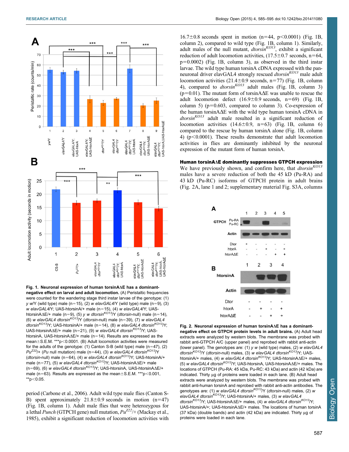<span id="page-3-0"></span>



period ([Carbone et al., 2006](#page-10-0)). Adult wild type male flies (Canton S-B) spent approximately  $21.8 \pm 0.9$  seconds in motion (n=47) (Fig. 1B, column 1). Adult male flies that were heterozygous for a lethal *Punch* (GTPCH gene) null mutation,  $Pu^{Z22}/+$  [\(Mackay et al.,](#page-11-0) [1985](#page-11-0)), exhibit a significant reduction of locomotion activities with

 $16.7\pm0.8$  seconds spent in motion (n=44, p $<0.0001$ ) (Fig. 1B, column 2), compared to wild type (Fig. 1B, column 1). Similarly, adult males of the null mutant,  $dtorsin^{KO13}$ , exhibit a significant reduction of adult locomotion activities,  $(17.5 \pm 0.7 \text{ seconds}, n=64,$  $p=0.0002$ ) (Fig. 1B, column 3), as observed in the third instar larvae. The wild type human torsinA cDNA expressed with the panneuronal driver elavGAL4 strongly rescued *dtorsin<sup>KO13</sup>* male adult locomotion activities  $(21.4 \pm 0.9$  seconds, n=77) (Fig. 1B, column 4), compared to  $dtorsin<sup>KO13</sup>$  adult males (Fig. 1B, column 3)  $(p=0.01)$ . The mutant form of torsin $A\Delta E$  was unable to rescue the adult locomotion defect  $(16.9 \pm 0.9 \text{ seconds}, n=69)$  (Fig. 1B, column 5) ( $p=0.603$ , compared to column 3). Co-expression of the human torsin $A\Delta E$  with the wild type human torsin $A$  cDNA in  $dtorsin<sup>KO13</sup>$  adult male resulted in a significant reduction of locomotion activities  $(14.6 \pm 0.9, n=63)$  (Fig. 1B, column 6) compared to the rescue by human torsinA alone (Fig. 1B, column 4) ( $p<0.0001$ ). These results demonstrate that adult locomotion activities in flies are dominantly inhibited by the neuronal expression of the mutant form of human torsinA.

## Human torsinA $\Delta$ E dominantly suppresses GTPCH expression

We have previously shown, and confirm here, that dtorsin<sup>KO13</sup> males have a severe reduction of both the 45 kD (Pu-RA) and 43 kD (Pu-RC) isoforms of GTPCH protein in adult brains (Fig. 2A, lane 1 and 2; [supplementary material Fig. S3A](http://bio.biologists.org/lookup/suppl/doi:10.1242/bio.201411080/-/DC1), columns



Fig. 2. Neuronal expression of human torsin $A\Delta E$  has a dominantnegative effect on GTPCH protein levels in adult brains. (A) Adult head extracts were analyzed by western blots. The membrane was probed with rabbit anti-GTPCH A/C (upper panel) and reprobed with rabbit anti-actin (lower panel). The genotypes are:  $(1)$  y w (wild type) males,  $(2)$  w elavGAL4 dtorsin<sup>KO13</sup>/Y (dtorsin-null) males, (3) w elavGAL4 dtorsin<sup>KO13</sup>/Y; UAShtorsinA/+ males, (4) w elavGAL4 dtorsin<sup>KO13</sup>/Y; UAS-htorsinA $\Delta$ E/+ males, (5) w elavGAL4 dtorsin<sup>KO13</sup>/Y; UAS-htorsinA, UAS-htorsinA∆E/+ males. The locations of GTPCH (Pu-RA: 45 kDa, Pu-RC: 43 kDa) and actin (42 kDa) are indicated. Thirty ug of proteins were loaded in each lane. (B) Adult head extracts were analyzed by western blots. The membrane was probed with rabbit anti-human torsinA and reprobed with rabbit anti-actin antibodies. The genotypes are: (1) w elavGAL4 dtorsin<sup>KO13</sup>/Y (dtorsin-null) males, (2) w elavGAL4 dtorsin<sup>KO13</sup>/Y; UAS-htorsinA/+ males, (3) w elavGAL4 dtorsin<sup>KO13</sup>/Y; UAS-htorsinA $\Delta$ E/+ males, (4) w elavGAL4 dtorsin<sup>KO13</sup>/Y; UAS-htorsinA/+; UAS-htorsinA $\Delta$ E/+ males. The locations of human torsinA (37 kDa) (double bands) and actin (42 kDa) are indicated. Thirty  $\mu$ g of proteins were loaded in each lane.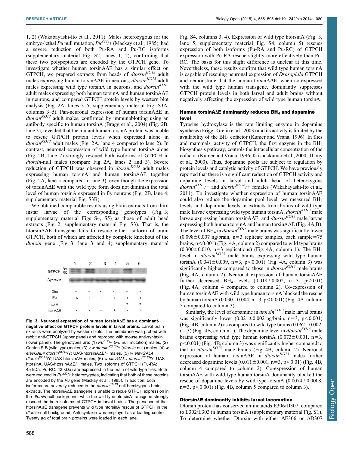<span id="page-4-0"></span>1, 2) [\(Wakabayashi-Ito et al., 2011\)](#page-11-0). Males heterozygous for the embryo-lethal Pu null mutation,  $Pu^{Z22}/+$  ([Mackay et al., 1985\)](#page-11-0), had a severe reduction of both Pu-RA and Pu-RC isoforms ([supplementary material Fig. S2](http://bio.biologists.org/lookup/suppl/doi:10.1242/bio.201411080/-/DC1), lanes 1, 2), confirming that these two polypeptides are encoded by the GTPCH gene. To investigate whether human torsin $A\Delta E$  has a similar effect on GTPCH, we prepared extracts from heads of  $dtorsin<sup>KO13</sup>$  adult males expressing human torsin $A\Delta E$  in neurons, *dtorsin<sup>KO13</sup>* adult males expressing wild type torsinA in neurons, and dtorsin<sup>KO13</sup> adult males expressing both human torsin $A$  and human torsin $A\Delta E$ in neurons, and compared GTPCH protein levels by western blot analysis [\(Fig. 2A, lanes 3–5;](#page-3-0) [supplementary material Fig. S3A](http://bio.biologists.org/lookup/suppl/doi:10.1242/bio.201411080/-/DC1), columns 3–5). Pan-neuronal expression of human torsin $A\Delta E$  in  $dtorsin<sup>KO13</sup>$  adult males, confirmed by immunoblotting using an antibody specific to human torsinA ([Bragg et al., 2004](#page-10-0)) ([Fig. 2B,](#page-3-0) [lane 3](#page-3-0)), revealed that the mutant human torsinA protein was unable to rescue GTPCH protein levels when expressed alone in  $dtorsin<sup>KO13</sup>$  adult males ([Fig. 2A, lane 4](#page-3-0) compared to lane 2). In contrast, neuronal expression of wild type human torsinA alone ([Fig. 2B, lane 2\)](#page-3-0) strongly rescued both isoforms of GTPCH in dtorsin-null males (compare [Fig. 2A, lanes 2 and 3](#page-3-0)). Severe reduction of GTPCH was observed in dtorsinKO13 adult males expressing human torsin $A$  and human torsin $A\Delta E$  together ([Fig. 2A, lane 5](#page-3-0) compared to lane 3), even though the expression of torsin $A\Delta E$  with the wild type form does not diminish the total level of human torsinA expressed in fly neurons ([Fig. 2B, lane 4](#page-3-0); [supplementary material Fig. S3B](http://bio.biologists.org/lookup/suppl/doi:10.1242/bio.201411080/-/DC1)).

We obtained comparable results using brain extracts from third instar larvae of the corresponding genotypes (Fig. 3; [supplementary material Figs S4, S5](http://bio.biologists.org/lookup/suppl/doi:10.1242/bio.201411080/-/DC1)) as those of adult head extracts [\(Fig. 2;](#page-3-0) [supplementary material Fig. S3\)](http://bio.biologists.org/lookup/suppl/doi:10.1242/bio.201411080/-/DC1). That is, the htorsinADE transgene fails to rescue either isoform of brain GTPCH, both of which are affected by complete knockout of the dtorsin gene (Fig. 3, lane 3 and 4; [supplementary material](http://bio.biologists.org/lookup/suppl/doi:10.1242/bio.201411080/-/DC1)

| GTPCH RA   | 1     | 2 | 3 | 5 | 6 |
|------------|-------|---|---|---|---|
| Syntaxin   |       |   |   |   |   |
| Dtor<br>Pu | $+/-$ |   |   |   |   |
| htorA      |       |   |   |   |   |
| htorA∆E    |       |   |   |   |   |

Fig. 3. Neuronal expression of human torsin $A\Delta E$  has a dominantnegative effect on GTPCH protein levels in larval brains. Larval brain extracts were analyzed by western blots. The membrane was probed with rabbit anti-GTPCH (upper panel) and reprobed with mouse anti-syntaxin (lower panel). The genotypes are: (1)  $Pu^{Z22}/+(Pu$  null mutation) males, (2) Canton S-B (wild type) males, (3) y w dtorsin<sup>KO13</sup>/Y (dtorsin-null) males, (4) w elavGAL4 dtorsin<sup>KO13</sup>/Y; UAS-htorsinAΔE/+ males, (5) w elavGAL4 dtorsin<sup>KO13</sup>/Y; UAS-htorsinA/+ males, (6) w elavGAL4 dtorsin<sup>KO13</sup>/Y; UAShtorsinA, UAS-htorsinA $\Delta$ E/+ males. Two isoforms of GTPCH (Pu-RA: 45 kDa, Pu-RC: 43 kDa) are expressed in the brain of wild type flies. Both were reduced in  $Pu^{z22}/+$  heterozygotes, indicating that both of these proteins are encoded by the *Pu* gene [\(Mackay et al., 1985\)](#page-11-0). In addition, both<br>isoforms are severely reduced in the *dtorsin<sup>kO13</sup>* null hemizygous brain extracts. The htorsinA $\Delta$ E transgene is unable to recue GTPCH expression in the *dtorsin*-null background, while the wild type htorsinA transgene strongly rescued the both isoforms of GTPCH in larval brains. The presence of the htorsinA $\Delta$ E transgene prevents wild type htorsinA rescue of GTPCH in the dtorsin-null background. Anti-syntaxin was employed as a loading control. Twenty ug of total brain proteins were loaded in each lane.

[Fig. S4,](http://bio.biologists.org/lookup/suppl/doi:10.1242/bio.201411080/-/DC1) columns 3, 4). Expression of wild type htorsinA (Fig. 3, lane 5; [supplementary material Fig. S4](http://bio.biologists.org/lookup/suppl/doi:10.1242/bio.201411080/-/DC1), column 5) rescues expression of both isoforms (Pu-RA and Pu-RC) of GTPCH expression with Pu-RA rescue slightly more effectively than Pu-RC. The basis for this slight difference is unclear at this time. Nevertheless, these results confirm that wild type human torsinA is capable of rescuing neuronal expression of Drosophila GTPCH and demonstrate that the human torsin $A\Delta E$ , when co-expressed with the wild type human transgene, dominantly suppresses GTPCH protein levels in both larval and adult brains without negatively affecting the expression of wild type human torsinA.

# Human torsinA $\Delta$ E dominantly reduces BH<sub>4</sub> and dopamine level

Tyrosine hydroxylase is the rate limiting enzyme in dopamine synthesis [\(Friggi-Grelin et al., 2003\)](#page-10-0) and its activity is limited by the availability of the  $BH<sub>4</sub>$  cofactor [\(Kumer and Vrana, 1996](#page-11-0)). In flies and mammals, activity of GTPCH, the first enzyme in the  $BH<sub>4</sub>$ biosynthesis pathway, controls the intracellular concentration of the cofactor ([Kumer and Vrana, 1996;](#page-11-0) [Krishnakumar et al., 2000](#page-10-0); Thöny [et al., 2000](#page-11-0)). Thus, dopamine pools are subject to regulation by protein levels and catalytic activity of GTPCH. We have previously reported that there is a significant reduction of GTPCH activity and dopamine levels in larval and adult head of heterozygous  $drosin^{KO13}/+$  and  $dtorsin^{KO78}/+$  females ([Wakabayashi-Ito et al.,](#page-11-0) [2011\)](#page-11-0). To investigate whether expression of human torsin $A\Delta E$ could also reduce the dopamine pool level, we measured BH4 levels and dopamine levels in extracts from brains of wild type male larvae expressing wild type human torsinA, dtorsinKO13 male larvae expressing human torsin $A\Delta E$ , and  $dtorsin<sup>KO13</sup>$  male larvae expressing both human torsinA and human torsin $A\Delta E$  [\(Fig. 4A,B](#page-5-0)). The level of  $BH<sub>4</sub>$  in *dtorsin*<sup>KO13</sup> male brains was significantly lower  $(0.098\pm0.007$  ng/brain, n=3 replicate samples, each sample=75 brains,  $p<0.001$ ) [\(Fig. 4A, column 2\)](#page-5-0) compared to wild type brains  $(0.300\pm0.010, n=3$  replications) [\(Fig. 4A, column 1](#page-5-0)). The BH<sub>4</sub> level in  $dtorsin<sup>KO13</sup>$  male brains expressing wild type human torsinA  $(0.341 \pm 0.009, n=3, p<0.001)$  ([Fig. 4A, column 3](#page-5-0)) was significantly higher compared to those in  $d\cos^{10.15}$  male brains ([Fig. 4A, column 2\)](#page-5-0). Neuronal expression of human torsin $A\Delta E$ further decreased BH<sub>4</sub> levels  $(0.018 \pm 0.002, n=3, p<0.01)$ ([Fig. 4A, column 4](#page-5-0) compared to column 2). Co-expression of human torsin $A\Delta E$  with wild type human torsin $A$  blocked the rescue by human torsinA  $(0.030 \pm 0.004, n=3, p<0.001)$  [\(Fig. 4A, column](#page-5-0) [5](#page-5-0) compared to column 3).

Similarly, the level of dopamine in  $dtorsin<sup>KO13</sup>$  male larval brains was significantly lower  $(0.021 \pm 0.002$  ng/brain, n=3, p $\leq 0.001$ ) ([Fig. 4B, column 2\)](#page-5-0) as compared to wild type brains  $(0.062 \pm 0.002, 0.002)$ n=3) [\(Fig. 4B, column 1](#page-5-0)). The dopamine level in  $dtorsin<sup>KO13</sup>$  male brains expressing wild type human torsinA  $(0.073 \pm 0.001, n=3,$  $p<0.001$ ) [\(Fig. 4B, column 3\)](#page-5-0) was significantly higher compared to that in *dtorsin<sup>KO13</sup>* male brains ([Fig. 4B, column 2](#page-5-0)). Neuronal expression of human torsin $A\Delta E$  in *dtorsin*<sup>KO13</sup> males further decreased dopamine levels  $(0.011 \pm 0.001, n=3, p<0.01)$  ([Fig. 4B,](#page-5-0) [column 4](#page-5-0) compared to column 2). Co-expression of human torsin $A\Delta E$  with wild type human torsin $A$  dominantly blocked the rescue of dopamine levels by wild type torsinA  $(0.0074 \pm 0.0008$ ,  $n=3$ ,  $p<0.001$ ) [\(Fig. 4B, column 5](#page-5-0) compared to column 3).

# Dtorsin $\Delta$ E dominantly inhibits larval locomotion

Dtorsin protein has conserved amino acids E306/D307, compared to E302/E303 in human torsinA ([supplementary material Fig. S1](http://bio.biologists.org/lookup/suppl/doi:10.1242/bio.201411080/-/DC1)). To determine whether Dtorsin with either  $\Delta$ E306 or  $\Delta$ D307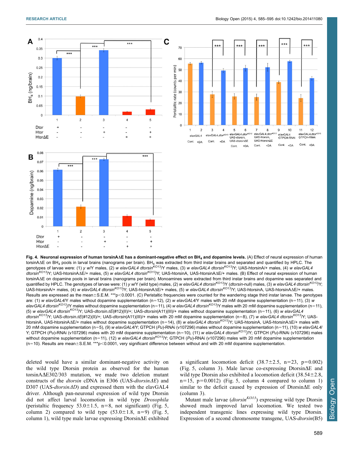<span id="page-5-0"></span>

Fig. 4. Neuronal expression of human torsinAAE has a dominant-negative effect on BH<sub>4</sub> and dopamine levels. (A) Effect of neural expression of human torsinAAE on BH<sub>4</sub> pools in larval brains (nanograms per brain). BH<sub>4</sub> was extracted from third instar brains and separated and quantified by HPLC. The genotypes of larvae were: (1) y w/Y males, (2) w elavGAL4 dtorsin<sup>KO13</sup>/Y males, (3) w elavGAL4 dtorsin<sup>KO13</sup>/Y; UAS-htorsinA/+ males, (4) w elavGAL4 dtorsin<sup>KO13</sup>/Y; UAS-htorsinA $\Delta$ E/+ males, (5) w elavGAL4 dtorsin<sup>KO13</sup>/Y; UAS-htorsinA, UAS-htorsinA $\Delta$ E/+ males. (B) Effect of neural expression of human torsinA $\Delta$ E on dopamine pools in larval brains (nanograms per brain). Monoamines were extracted from third instar brains and dopamine was separated and quantified by HPLC. The genotypes of larvae were: (1) y w/Y (wild type) males, (2) w elavGAL4 dtorsin<sup>KO13</sup>/Y (dtorsin-null) males, (3) w elavGAL4 dtorsin<sup>KO13</sup>/Y; UAS-htorsinA/+ males, (4) w elavGAL4 dtorsin<sup>KO13</sup>/Y; UAS-htorsinAΔE/+ males, (5) w elavGAL4 dtorsin<sup>KO13</sup>/Y; UAS-htorsinA, UAS-htorsinA∆E/+ males. Results are expressed as the mean±S.E.M. \*\*\*p<0.0001. (C) Peristaltic frequencies were counted for the wandering stage third instar larvae. The genotypes are: (1) w elavGAL4/Y males without dopamine supplementation (n=12), (2) w elavGAL4/Y males with 20 mM dopamine supplementation (n=11), (3) w elavGAL4 dtorsin<sup>KO13</sup>//Y males without dopamine supplementation (n=11), (4) w elavGAL4 dtorsin<sup>KO13</sup>/Y males with 20 mM dopamine supplementation (n=11), (5) w elavGAL4 dtorsin<sup>KO13</sup>/Y; UAS-dtorsin/LE(#12)(II)/+; UAS-dtorsin(A11)(III)/+ males without dopamine supplementation (n=11), (6) w elavGAL4 dtorsin<sup>KO13</sup>/Y; UAS-dtorsin $\Delta E$ (#12)(II)/+; UAS-dtorsin(A11)(III)/+ males with 20 mM dopamine supplementation (n=8), (7) w elavGAL4 dtorsin<sup>KO13</sup>/Y; UAShtorsinA, UAS-htorsinA $\Delta$ E/+ males without dopamine supplementation (n=14), (8) w elavGAL4 dtorsin<sup>KO13</sup>/Y; UAS-htorsinA, UAS-htorsinA $\Delta$ E/+ males with 20 mM dopamine supplementation (n=5), (9) w elavGAL4/Y; GTPCH (Pu)-RNAi (v107296) males without dopamine supplementation (n=11), (10) w elavGAL4/ Y; GTPCH (Pu)-RNAi (v107296) males with 20 mM dopamine supplementation (n=10), (11) w elavGAL4 dtorsin<sup>KO13</sup>//Y; GTPCH (Pu)-RNAi (v107296) males without dopamine supplementation (n=11), (12) w elavGAL4 dtorsin<sup>KO13</sup>/Y; GTPCH (Pu)-RNAi (v107296) males with 20 mM dopamine supplementation  $(n=10)$ . Results are mean $\pm$ S.E.M. \*\*\*p<0.0001, very significant difference between without and with 20 mM dopamine supplementation.

deleted would have a similar dominant-negative activity on the wild type Dtorsin protein as observed for the human torsin $A\Delta E$ 302/303 mutation, we made two deletion mutant constructs of the *dtorsin* cDNA in E306 (UAS-*dtorsin* $\Delta E$ ) and D307 (UAS-dtorsin $\triangle$ D) and expressed them with the elavGAL4 driver. Although pan-neuronal expression of wild type Dtorsin did not affect larval locomotion in wild type Drosophila (peristaltic frequency  $53.0 \pm 1.5$ , n=8, not significant) ([Fig. 5,](#page-6-0) [column 2\)](#page-6-0) compared to wild type  $(53.0 \pm 1.8, n=9)$  ([Fig. 5,](#page-6-0) [column 1\)](#page-6-0), wild type male larvae expressing  $D$ torsin $\Delta E$  exhibited

 $\overline{c}$ 

 $\overline{1}$ 

Dtor Htor

Htor∆E

3

 $\overline{+}$ 

 $\overline{a}$ 

5

a significant locomotion deficit (38.7 $\pm$ 2.5, n=23, p=0.002) ([Fig. 5, column 3\)](#page-6-0). Male larvae co-expressing Dtorsin $\Delta E$  and wild type Dtorsin also exhibited a locomotion deficit  $(38.54 \pm 2.8,$  $n=15$ ,  $p=0.0012$ ) [\(Fig. 5, column 4](#page-6-0) compared to column 1) similar to the deficit caused by expression of Dtorsin $\Delta E$  only (column 3).

Mutant male larvae  $(dtorsin<sup>KO13</sup>)$  expressing wild type Dtorsin showed much improved larval locomotion. We tested two independent transgenic lines expressing wild type Dtorsin. Expression of a second chromosome transgene, UAS-dtorsin(B5)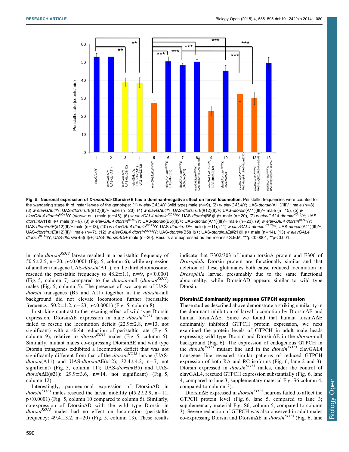<span id="page-6-0"></span>

Fig. 5. Neuronal expression of Drosophila Dtorsin $\Delta E$  has a dominant-negative effect on larval locomotion. Peristaltic frequencies were counted for the wandering stage third instar larvae of the genotype: (1) w elavGAL4/Y (wild type) male (n=9), (2) w elavGAL4/Y; UAS-dtorsin(A11)(III)/+ male (n=8), (3) w elavGAL4/Y; UAS-dtorsin $\Delta$ E(#12)(II)/+ male (n=23), (4) w elavGAL4/Y; UAS-dtorsin $\Delta$ E(#12)(II)/+; UAS-dtorsin(A11)(III)/+ male (n=15), (5) w elavGAL4 dtorsin<sup>KO13</sup>/Y (dtorsin-null) male (n=48), (6) w elavGAL4 dtorsin<sup>KO13</sup>/Y; UAS-dtorsin(B5)(II)/+ male (n=20), (7) w elavGAL4 dtorsin<sup>KO13</sup>/Y; UASdtorsin(A11)(III)/+ male (n=9), (8) w elavGAL4 dtorsin<sup>KO13</sup>/Y; UAS-dtorsin(B5)(II)/+; UAS-dtorsin(A11)(III)/+ male (n=23), (9) w elavGAL4 dtorsin<sup>KO13</sup>/Y; UAS-dtorsin (Et#12)(II)/+ male (n=13), (10) w elavGAL4 dtorsin<sup>KO13</sup>/Y; UAS-dtorsin (D/+ male (n=11), (11) w elavGAL4 dtorsin<sup>KO13</sup>/Y; UAS-dtorsin(A11)(III)/+; UAS-dtorsin $\Delta E(\#12)(11)/+$  male (n=7), (12) w elavGAL4 dtorsin<sup>KO13</sup>/Y; UAS-dtorsin(B5)(II)/+; UAS-dtorsin $\Delta E(\#21)(111)/+$  male (n=14), (13) w elavGAL4 dtorsin<sup>KO13</sup>/Y; UAS-dtorsin(B5)(II)/+; UAS-dtorsin $\Delta D$ /+ male (n=20). Results are expressed as the means $\pm$ S.E.M. \*\*\*p<0.0001, \*\*p<0.001.

in male  $dtorsin<sup>KO13</sup>$  larvae resulted in a peristaltic frequency of  $50.5 \pm 2.5$ , n=20, p<0.0001 (Fig. 5, column 6), while expression of another transgene UAS-dtorsin(A11), on the third chromosome, rescued the peristaltic frequency to  $48.2 \pm 1.1$ , n=9, p $\leq 0.0001$ (Fig. 5, column 7) compared to the *dtorsin*-null  $(d\hat{t}orsin<sup>KO13</sup>)$ males (Fig. 5, column 5). The presence of two copies of UASdtorsin transgenes (B5 and A11) together in the dtorsin-null background did not elevate locomotion further (peristaltic frequency:  $50.2 \pm 1.2$ , n=23, p $\leq 0.0001$ ) (Fig. 5, column 8).

In striking contrast to the rescuing effect of wild type Dtorsin expression, Dtorsin $\Delta E$  expression in male *dtorsin*<sup>KO13</sup> larvae failed to rescue the locomotion deficit  $(22.9 \pm 2.8, n=13, not$ significant) with a slight reduction of peristaltic rate (Fig. 5, column 9), relative to  $dtorsin<sup>KO13</sup>$  males (Fig. 5, column 5). Similarly, mutant males co-expressing  $D$ torsin $\Delta E$  and wild type Dtorsin transgenes exhibited a locomotion deficit that was not significantly different from that of the  $dtorsin<sup>KO13</sup>$  larvae (UAS $dtorsin(A11)$  and UAS- $dtorsin\Delta E(\#12)$ ; 32.4 $\pm$ 4.2, n=7, not significant) (Fig. 5, column 11); UAS-dtorsin(B5) and UAS $dtorsin\Delta E(\#21)$ : 29.9 $\pm$ 3.6, n=14, not significant) (Fig. 5, column 12).

Interestingly, pan-neuronal expression of Dtorsin $\Delta D$  in dtorsin<sup>KO13</sup> males rescued the larval mobility (45.2±2.9, n=11,  $p<0.0001$ ) (Fig. 5, column 10 compared to column 5). Similarly,  $co-expression$  of Dtorsin $\Delta D$  with the wild type Dtorsin in  $dtorsin<sup>KO13</sup>$  males had no effect on locomotion (peristaltic frequency:  $49.4 \pm 3.2$ , n=20) (Fig. 5, column 13). These results indicate that E302/303 of human torsinA protein and E306 of Drosophila Dtorsin protein are functionally similar and that deletion of these glutamates both cause reduced locomotion in Drosophila larvae, presumably due to the same functional abnormality, while Dtorsin $\Delta$ D appears similar to wild type Dtorsin.

## $D$ torsin $\Delta$ E dominantly suppresses GTPCH expression

These studies described above demonstrate a striking similarity in the dominant inhibition of larval locomotion by Dtorsin $\Delta E$  and human torsin $A\Delta E$ . Since we found that human torsin $A\Delta E$ dominantly inhibited GTPCH protein expression, we next examined the protein levels of GTPCH in adult male heads expressing wild type Dtorsin and Dtorsin $\Delta E$  in the *dtorsin*-null background ([Fig. 6](#page-7-0)). The expression of endogenous GTPCH in the  $dtorsin<sup>KO13</sup>$  mutant line and in the  $dtorsin<sup>KO13</sup>$  elavGAL4 transgene line revealed similar patterns of reduced GTPCH expression of both RA and RC isoforms ([Fig. 6, lane 2 and 3](#page-7-0)). Dtorsin expressed in  $dtorsin<sup>KO13</sup>$  males, under the control of elavGAL4, rescued GTPCH expression substantially [\(Fig. 6, lane](#page-7-0) [4,](#page-7-0) compared to lane 3; [supplementary material Fig. S6](http://bio.biologists.org/lookup/suppl/doi:10.1242/bio.201411080/-/DC1) column 4, compared to column 3).

Dtorsin $\Delta E$  expressed in *dtorsin*<sup>KO13</sup> neurons failed to affect the GTPCH protein level [\(Fig. 6, lane 5](#page-7-0), compared to lane 3; [supplementary material Fig. S6,](http://bio.biologists.org/lookup/suppl/doi:10.1242/bio.201411080/-/DC1) column 5, compared to column 3). Severe reduction of GTPCH was also observed in adult males co-expressing Dtorsin and Dtorsin $\Delta E$  in *dtorsin*<sup>KO13</sup> [\(Fig. 6, lane](#page-7-0)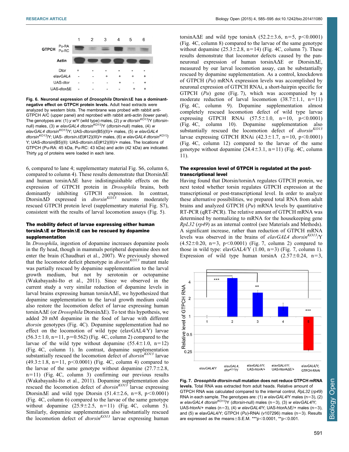<span id="page-7-0"></span>

Fig. 6. Neuronal expression of Drosophila Dtorsin $\Delta$ E has a dominantnegative effect on GTPCH protein levels. Adult head extracts were analyzed by western blots. The membrane was probed with rabbit anti-GTPCH A/C (upper panel) and reprobed with rabbit anti-actin (lower panel). The genotypes are: (1) y w/Y (wild type) males, (2) y w dtorsin<sup>KO13</sup>/Y (dtorsinnull) males, (3) w elavGAL4 dtorsin<sup>KO13</sup>/Y (dtorsin-null) males, (4) w elavGAL4 dtorsin<sup>KO13</sup>/Y; UAS-dtorsin(B5)(II)/+ males, (5) w elavGAL4 dtorsin<sup>KO13</sup>/Y; UAS- dtorsin $\triangle E(\#12)(\text{III})$ /+ males, (6) w elavGAL4 dtorsin<sup>KO13</sup>/ Y; UAS-dtorsin(B5)(II): UAS-dtorsin $\Delta E(\#12)$ (III)/+ males. The locations of GTPCH (Pu-RA: 45 kDa, Pu-RC: 43 kDa) and actin (42 kDa) are indicated. Thirty ug of proteins were loaded in each lane.

6, compared to lane 4; [supplementary material Fig. S6,](http://bio.biologists.org/lookup/suppl/doi:10.1242/bio.201411080/-/DC1) column 6, compared to column 4). These results demonstrate that  $D$ torsin $\Delta E$ and human torsin $A\Delta E$  have indistinguishable effects on the expression of GTPCH protein in Drosophila brains, both dominantly inhibiting GTPCH expression. In contrast, Dtorsin $\Delta D$  expressed in *dtorsin<sup>KOf3</sup>* neurons moderately rescued GTPCH protein level [\(supplementary material Fig. S7](http://bio.biologists.org/lookup/suppl/doi:10.1242/bio.201411080/-/DC1)), consistent with the results of larval locomotion assays [\(Fig. 5](#page-6-0)).

## The mobility defect of larvae expressing either human torsinA $\Delta$ E or Dtorsin $\Delta$ E can be rescued by dopamine supplementation

In Drosophila, ingestion of dopamine increases dopamine pools in the fly head, though in mammals peripheral dopamine does not enter the brain ([Chaudhuri et al., 2007\)](#page-10-0). We previously showed that the locomotor deficit phenotype in  $dtorsin<sup>KO13</sup>$  mutant male was partially rescued by dopamine supplementation to the larval growth medium, but not by serotonin or octopamine ([Wakabayashi-Ito et al., 2011](#page-11-0)). Since we observed in the current study a very similar reduction of dopamine levels in larval brains expressing human torsin $A\Delta E$ , we hypothesized that dopamine supplementation to the larval growth medium could also restore the locomotion defect of larvae expressing human torsin $A\Delta E$  (or *Drosophila* Dtorsin $\Delta E$ ). To test this hypothesis, we added 20 mM dopamine in the food of larvae with different dtorsin genotypes [\(Fig. 4C\)](#page-5-0). Dopamine supplementation had no effect on the locomotion of wild type (elavGAL4/Y) larvae  $(56.3 \pm 1.0, n=11, p=0.562)$  [\(Fig. 4C, column 2](#page-5-0)) compared to the larvae of the wild type without dopamine  $(55.4 \pm 1.0, n=12)$ ([Fig. 4C, column 1\)](#page-5-0). In contrast, dopamine supplementation substantially rescued the locomotion defect of  $dtorsin<sup>KO13</sup>$  larvae  $(49.3 \pm 1.8, n=11, p<0.0001)$  [\(Fig. 4C, column 4](#page-5-0)) compared to the larvae of the same genotype without dopamine  $(27.7\pm2.8,$  $n=11$ ) [\(Fig. 4C, column 3\)](#page-5-0) confirming our previous results ([Wakabayashi-Ito et al., 2011\)](#page-11-0). Dopamine supplementation also rescued the locomotion defect of  $dtorsin<sup>KO13</sup>$  larvae expressing Dtorsin $\Delta E$  and wild type Dtorsin (51.4 $\pm$ 2.6, n=8, p $\leq$ 0.0001) ([Fig. 4C, column 6\)](#page-5-0) compared to the larvae of the same genotype without dopamine  $(25.9 \pm 2.5, n=11)$  [\(Fig. 4C, column 5](#page-5-0)). Similarly, dopamine supplementation also substantially rescued the locomotion defect of  $dtorsin<sup>KO13</sup>$  larvae expressing human torsinA $\Delta$ E and wild type torsinA (52.2 $\pm$ 3.6, n=5, p $\leq$ 0.0001) ([Fig. 4C, column 8\)](#page-5-0) compared to the larvae of the same genotype without dopamine  $(25.3 \pm 2.8, n=14)$  [\(Fig. 4C, column 7\)](#page-5-0). These results demonstrate that locomotor defects caused by the panneuronal expression of human torsin $A\Delta E$  or Dtorsin $\Delta E$ , measured by our larval locomotion assay, can be substantially rescued by dopamine supplementation. As a control, knockdown of GTPCH  $(Pu)$  mRNA expression levels was accomplished by neuronal expression of GTPCH RNAi, a short-hairpin specific for GTPCH  $(Pu)$  gene (Fig. 7), which was accompanied by a moderate reduction of larval locomotion  $(38.7 \pm 1.1, n=11)$ ([Fig. 4C, column 9](#page-5-0)). Dopamine supplementation almost completely rescued locomotion defect of wild type larvae expressing GTPCH RNAi  $(57.5 \pm 1.0, n=10, p<0.0001)$ ([Fig. 4C, column 10](#page-5-0)). Dopamine supplementation also substantially rescued the locomotion defect of dtorsin<sup>KO13</sup> larvae expressing GTPCH RNAi  $(42.3 \pm 1.7, n=10, p<0.0001)$ ([Fig. 4C, column 12\)](#page-5-0) compared to the larvae of the same genotype without dopamine  $(24.4 \pm 3.1, n=11)$  ([Fig. 4C, column](#page-5-0) [11](#page-5-0)).

## The expression level of GTPCH is regulated at the posttranscriptional level

Having found that Dtorsin/torsinA regulates GTPCH protein, we next tested whether torsin regulates GTPCH expression at the transcriptional or post-transcriptional level. In order to analyze these alternative possibilities, we prepared total RNA from adult brains and analyzed GTPCH  $(Pu)$  mRNA levels by quantitative RT-PCR (qRT-PCR). The relative amount of GTPCH mRNA was determined by normalizing to mRNA for the housekeeping gene RpL32 (rp49) as an internal control (see Materials and Methods). A significant increase, rather than reduction of GTPCH mRNA levels was observed in the brains of elavGAL4 dtorsin<sup>KO13</sup>/Y  $(4.52 \pm 0.20, n=3, p<0.0001)$  (Fig. 7, column 2) compared to those in wild type:  $elavGAL4/Y$  (1.00, n=3) (Fig. 7, column 1). Expression of wild type human torsinA  $(2.57 \pm 0.24, n=3,$ 



Fig. 7. Drosophila dtorsin-null mutation does not reduce GTPCH mRNA levels. Total RNA was extracted from adult heads. Relative amount of GTPCH RNA was calculated compared to the internal control, RpL32 (rp49) RNA in each sample. The genotypes are: (1) w elavGAL4/Y males (n=3), (2) w elavGAL4 dtorsin<sup>KO13</sup>/Y (dtorsin-null) males (n=3), (3) w elavGAL4/Y; UAS-htorA/+ males (n=3), (4) w elavGAL4/Y; UAS-htorA $\Delta E$ /+ males (n=3), and (5) w elavGAL4/Y; GTPCH ( $Pu$ )-RNAi (v107296) males (n=3). Results are expressed as the means $\pm$ S.E.M. \*\*\*p $<$ 0.0001, \*\*p $<$ 0.001.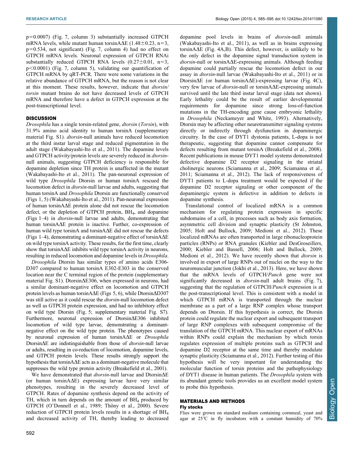$p=0.0007$ ) ([Fig. 7, column 3\)](#page-7-0) substantially increased GTPCH mRNA levels, while mutant human torsin $A\Delta E$  (1.48±0.23, n=3,  $p=0.534$ , not significant) ([Fig. 7, column 4\)](#page-7-0) had no effect on GTPCH mRNA levels. Neuronal expression of GTPCH RNAi substantially reduced GTPCH RNA levels  $(0.27 \pm 0.01, n=3,$ p<0.0001) ([Fig. 7, column 5\)](#page-7-0), validating our quantification of GTPCH mRNA by qRT-PCR. There were some variations in the relative abundance of GTPCH mRNA, but the reason is not clear at this moment. These results, however, indicate that dtorsin/ torsin mutant brains do not have decreased levels of GTPCH mRNA and therefore have a defect in GTPCH expression at the post-transcriptional level.

# **DISCUSSION**

Drosophila has a single torsin-related gene, dtorsin (Torsin), with 31.9% amino acid identity to human torsinA [\(supplementary](http://bio.biologists.org/lookup/suppl/doi:10.1242/bio.201411080/-/DC1) [material Fig. S1\)](http://bio.biologists.org/lookup/suppl/doi:10.1242/bio.201411080/-/DC1). dtorsin-null animals have reduced locomotion at the third instar larval stage and reduced pigmentation in the adult stage [\(Wakabayashi-Ito et al., 2011](#page-11-0)). The dopamine levels and GTPCH activity/protein levels are severely reduced in *dtorsin*null animals, suggesting GTPCH deficiency is responsible for dopamine depletion since TH protein is unaffected in the mutant ([Wakabayashi-Ito et al., 2011](#page-11-0)). The pan-neuronal expression of wild type *Drosophila* Dtorsin or human torsinA rescued the locomotion defect in *dtorsin*-null larvae and adults, suggesting that human torsinA and Drosophila Dtorsin are functionally conserved ([Figs 1,](#page-3-0) [5\)](#page-6-0) [\(Wakabayashi-Ito et al., 2011\)](#page-11-0). Pan-neuronal expression of human torsin $A\Delta E$  protein alone did not rescue the locomotion defect, or the depletion of GTPCH protein, BH<sub>4</sub>, and dopamine ([Figs 1](#page-3-0)[–4\)](#page-5-0) in dtorsin-null larvae and adults, demonstrating that human torsinA $\Delta$ E protein is inactive. Further, co-expression of human wild type torsinA and torsinA $\Delta$ E did not rescue the defects ([Figs 1](#page-3-0)[–4\)](#page-5-0), demonstrating a dominant-negative effect of torsin $A\Delta E$ on wild type torsinA activity. These results, for the first time, clearly show that torsin $A\Delta E$  inhibits wild type torsin $A$  activity in neurons, resulting in reduced locomotion and dopamine levels in Drosophila.

Drosophila Dtorsin has similar types of amino acids E306- D307 compared to human torsinA E302-E303 in the conserved location near the C terminal region of the protein [\(supplementary](http://bio.biologists.org/lookup/suppl/doi:10.1242/bio.201411080/-/DC1) [material Fig. S1](http://bio.biologists.org/lookup/suppl/doi:10.1242/bio.201411080/-/DC1)). Dtorsin $\Delta$ E306, when expressed in neurons, had a similar dominant-negative effect on locomotion and GTPCH protein levels as human torsin $\Delta \Delta E$  [\(Figs 5,](#page-6-0) [6\)](#page-7-0), while Dtorsin $\Delta$ D307 was still active as it could rescue the *dtorsin*-null locomotion defect as well as GTPCH protein expression, and had no inhibitory effect on wild type Dtorsin [\(Fig. 5;](#page-6-0) [supplementary material Fig. S7](http://bio.biologists.org/lookup/suppl/doi:10.1242/bio.201411080/-/DC1)). Furthermore, neuronal expression of Dtorsin $\Delta$ E306 inhibited locomotion of wild type larvae, demonstrating a dominantnegative effect on the wild type protein. The phenotypes caused by neuronal expression of human torsinA $\Delta E$  or *Drosophila* Dtorsin $\Delta E$  are indistinguishable from those of *dtorsin*-null larvae or adults, resulting in co-reduction of locomotion, dopamine levels, and GTPCH protein levels. These results strongly support the hypothesis that torsin $A\Delta E$  acts as a dominant-negative molecule that suppresses the wild type protein activity [\(Breakefield et al., 2001\)](#page-10-0).

We have demonstrated that *dtorsin*-null larvae and Dtorsin $\Delta E$ (or human torsin $A\Delta E$ ) expressing larvae have very similar phenotypes, resulting in the severely decreased level of GTPCH. Rates of dopamine synthesis depend on the activity of TH, which in turn depends on the amount of  $BH<sub>4</sub>$  produced by GTPCH ([O'Donnell et al., 1989](#page-11-0); Thöny et al., 2000). Severe reduction of GTPCH protein levels results in a shortage of BH4 and decreased activity of TH, thereby leading to decreased dopamine pool levels in brains of *dtorsin*-null animals ([Wakabayashi-Ito et al., 2011](#page-11-0)), as well as in brains expressing torsin $A\Delta E$  [\(Fig. 4A,B\)](#page-5-0). This defect, however, is unlikely to be the only defect in the dopamine signal transduction system in dtorsin-null or torsinA $\Delta$ E-expressing animals. Although feeding dopamine could partially rescue the locomotion defect in our assay in dtorsin-null larvae [\(Wakabayashi-Ito et al., 2011\)](#page-11-0) or in Dtorsin $\Delta E$  (or human torsin $A\Delta E$ )-expressing larvae [\(Fig. 4C](#page-5-0)), very few larvae of *dtorsin*-null or torsinA $\Delta$ E-expressing animals survived until the late third instar larval stage (data not shown). Early lethality could be the result of earlier developmental requirements for dopamine since strong loss-of-function mutations in the TH-encoding gene cause embryonic lethality in Drosophila [\(Neckameyer and White, 1993](#page-11-0)). Alternatively, Dtorsin may be affecting other neurotransmitter signaling systems directly or indirectly through dysfunction in dopaminergic circuitry. In the case of DYT1 dystonia patients, L-dopa is not therapeutic, suggesting that dopamine cannot compensate for defects resulting from mutant torsinA ([Breakefield et al., 2008](#page-10-0)). Recent publications in mouse DYT1 model systems demonstrated defective dopamine D2 receptor signaling in the striatal cholinergic neurons ([Sciamanna et al., 2009; Sciamanna et al.,](#page-11-0) [2011; Sciamanna et al., 2012\)](#page-11-0). The lack of responsiveness of DYT1 patients to L-dopa treatment would be expected if the dopamine D2 receptor signaling or other component of the dopaminergic system is defective in addition to defects in dopamine synthesis.

Translational control of localized mRNA is a common mechanism for regulating protein expression in specific subdomains of a cell, in processes such as body axis formation, asymmetric cell division and synaptic plasticity [\(St Johnston,](#page-11-0) [2005;](#page-11-0) [Holt and Bullock, 2009;](#page-10-0) [Medioni et al., 2012\)](#page-11-0). These localized mRNAs are often transported in large ribonucleoprotein particles (RNPs) or RNA granules ([Kiebler and DesGroseillers,](#page-10-0) [2000; Kiebler and Bassell, 2006](#page-10-0); [Holt and Bullock, 2009](#page-10-0); [Medioni et al., 2012\)](#page-11-0). We have recently shown that *dtorsin* is involved in export of large RNPs out of nuclei on the way to the neuromuscular junction [\(Jokhi et al., 2013](#page-10-0)). Here, we have shown that the mRNA levels of GTPCH/Punch gene were not significantly decreased in *dtorsin*-null adult brains ([Fig. 7](#page-7-0)), suggesting that the regulation of GTPCH/*Punch* expression is at the post-transcriptional level. This is consistent with a model in which GTPCH mRNA is transported through the nuclear membrane as a part of a large RNP complex whose transport depends on Dtorsin. If this hypothesis is correct, the Dtorsin protein could regulate the nuclear export and subsequent transport of large RNP complexes with subsequent compromise of the translation of the GTPCH mRNA. This nuclear export of mRNAs within RNPs could explain the mechanism by which torsin regulates expression of multiple proteins such as GTPCH and dopamine D2 receptor at the same time and thereby modulate synaptic plasticity [\(Sciamanna et al., 2012](#page-11-0)). Further testing of this hypothesis will be very important for understanding the molecular function of torsin proteins and the pathophysiology of DYT1 disease in human patients. The Drosophila system with its abundant genetic tools provides us an excellent model system to probe this hypothesis.

#### MATERIALS AND METHODS Fly stocks

Flies were grown on standard medium containing cornmeal, yeast and agar at  $25^{\circ}$ C in fly incubators with a constant humidity of  $70\%$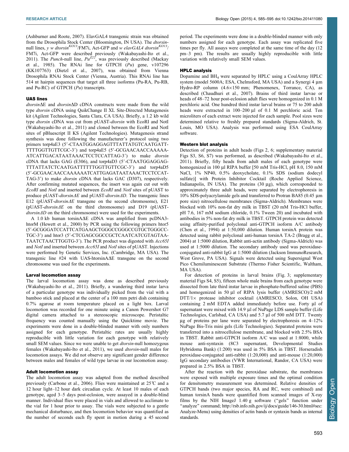([Ashburner and Roote, 2007](#page-10-0)). ElavGAL4 transgenic strain was obtained from the Drosophila Stock Center (Bloomington, IN USA). The *dtorsin*null lines, y w dtorsin<sup>KO13</sup>/FM7i, Act-GFP and w elavGAL4 dtorsin<sup>KO13</sup>/ FM7i, Act-GFP were described previously ([Wakabayashi-Ito et al.,](#page-11-0) [2011\)](#page-11-0). The *Punch*-null line,  $Pu^{Z22}$ , was previously described ([Mackay](#page-11-0) [et al., 1985](#page-11-0)). The RNAi line for GTPCH  $(Pu)$  gene,  $v107296$ (KK107763) ([Dietzl et al., 2007\)](#page-10-0), was obtained from Vienna Drosophila RNAi Stock Center (Vienna, Austria). This RNAi line has 514 nt hairpin sequences that target all three isoforms (Pu-RA, Pu-RB, and Pu-RC) of GTPCH  $(Pu)$  transcripts.

#### UAS lines

 $dtorsin\Delta E$  and  $dtorsin\Delta D$  cDNA constructs were made from the wild type dtorsin cDNA using QuikChange II XL Site-Directed Mutagenesis kit (Agilent Technologies, Santa Clara, CA USA). Briefly, a 1.2 kb wild type dtorsin cDNA was cut from pUAST-dtorsin with EcoRI and NotI ([Wakabayashi-Ito et al., 2011](#page-11-0)) and cloned between the EcoRI and NotI sites of pBluescript II KS (Agilent Technologies). Mutagenesis strand synthesis was done following the manufacturer's protocol using two primers torp4aE3 (5'-CTAATGGAGGAGTTTATTATGTCAATGATT-TTTTGGTTGTTCGC-3') and torp4aE5 (5'-GCGAACAACCAAAAA-ATCATTGACATAATAAACTCCTCCATTAG-3') to make dtorsin cDNA that lacks GAG (E306), and torp4aD3 (5'-CTAATGGAGGAG-TTTATTATCTCAATGATTTTTTGGTTGTTCGC-3') and torp4aD5 (59-GCGAACAACCAAAAAATCATTGAGATAATAAACTCCTCCAT-TAG-3') to make *dtorsin* cDNA that lacks GAC (D307), respectively. After confirming mutated sequences, the insert was again cut out with EcoRI and NotI and inserted between EcoRI and NotI sites of pUAST to produce pUAST-dtorsin $\Delta E$  and pUAST-dtorsin $\Delta D$ . The transgenic lines E12 (pUAST- $dtorsin\Delta E$  transgene on the second chromosome), E21 (pUAST- $dtorsin \Delta E$  on the third chromosome) and D19 (pUAST $dtorsin\Delta D$  on the third chromosome) were used for the experiments.

A 1.0 kb human torsin $A \Delta E$  cDNA was amplified from pcDNA3htorM [\(Hewett et al., 2000\)](#page-10-0) by PCR using the following primers htor5 (59-GCGGGATCCATTCATGAAGCTGGGCCGGGCCGTGCTGGGCC-TGC-3') and htor3 (5'-CTCGAGCGGCCGCTCAATCATCGTAGTAA-TAATCTAACTTGGTG-3'). The PCR product was digested with Acc65I and NotI and inserted between Acc65I and NotI sites of pUAST. Injections were performed by Genetic Services, Inc. (Cambridge, MA USA). The transgenic line  $#24$  with UAS-htorsin $A\Delta E$  transgene on the second chromosome was used for the experiments.

### Larval locomotion assay

The larval locomotion assay was done as described previously ([Wakabayashi-Ito et al., 2011](#page-11-0)). Briefly, a wandering third instar larva of a particular genotype was individually picked from the vial with a bamboo stick and placed at the center of a 100 mm petri dish containing 0.7% agarose at room temperature placed on a light box. Larval locomotion was recorded for one minute using a Canon Powershot G7 digital camera attached to a stereoscopic microscope. Peristaltic frequency was counted manually using the Quicktime movie. The experiments were done in a double-blinded manner with only numbers assigned for each genotype. Peristaltic rates are usually highly reproducible with little variation for each genotype with relatively small SEM values. Since we were unable to get *dtorsin*-null homozygous females [\(Wakabayashi-Ito et al., 2011\)](#page-11-0), we used dtorsin-null males for locomotion assays. We did not observe any significant gender difference between males and females of wild type larvae in our locomotion assay.

#### Adult locomotion assay

The adult locomotion assay was adapted from the method described previously ([Carbone et al., 2006](#page-10-0)). Flies were maintained at 25˚C and a 12 hour light–12 hour dark circadian cycle. At least 10 males of each genotype, aged 3–5 days post-eclosion, were assayed in a double-blind manner. Individual flies were placed in vials and allowed to acclimate to the vial for 1 hour prior to assay. The vials were subjected to a gentle mechanical disturbance, and then locomotion behavior was quantified as the number of seconds each fly spent in motion during a 45 second period. The experiments were done in a double-blinded manner with only numbers assigned for each genotype. Each assay was replicated five times per fly. All assays were completed at the same time of the day (12 pm–3 pm). The results are usually highly reproducible with little variation with relatively small SEM values.

#### HPLC analysis

Dopamine and BH4 were separated by HPLC using a CoulArray HPLC system (model 5600A; ESA, Chelmsford, MA USA) and a Synergi 4 µm Hydro-RP column (4.6×150 mm; Phenomenex, Torrance, CA), as described [\(Chaudhuri et al., 2007\)](#page-10-0). Brains of third instar larvae or heads of 48–72 hour post-eclosion adult flies were homogenized in 0.1 M perchloric acid. One hundred third instar larval brains or 75 to 200 adult heads were extracted in  $100-200 \mu l$  of 0.1 M perchloric acid. Ten microliters of each extract were injected for each sample. Pool sizes were determined relative to freshly prepared standards (Sigma-Aldrich, St. Louis, MO USA). Analysis was performed using ESA CoulArray software.

### Western blot analysis

Detection of proteins in adult heads [\(Figs 2,](#page-3-0) [6](#page-7-0); [supplementary material](http://bio.biologists.org/lookup/suppl/doi:10.1242/bio.201411080/-/DC1) [Figs S3, S6, S7\)](http://bio.biologists.org/lookup/suppl/doi:10.1242/bio.201411080/-/DC1) was performed, as described [\(Wakabayashi-Ito et al.,](#page-11-0) [2011\)](#page-11-0). Briefly, fifty heads from adult males of each genotype were homogenized in 100 µl RIPA buffer [50 mM Tris-HCl, pH 8.0, 150 mM NaCl, 1% NP40, 0.5% deoxycholate, 0.1% SDS (sodium dodecyl sulfate)] with Protein Inhibitor Cocktail (Roche Applied Science, Indianapolis, IN USA). The proteins  $(30 \mu g)$ , which corresponded to approximately three adult heads, were separated by electrophoresis in 10% SDS-polyacrylamide gels and transferred to Protran BA85 (0.45  $\mu$ m pore size) nitrocellulose membranes (Sigma-Aldrich). Membranes were blocked with 10% non-fat dry milk in TBST (20 mM Tris-HCl buffer, pH 7.6, 167 mM sodium chloride, 0.1% Tween 20) and incubated with antibodies in 5% non-fat dry milk in TBST. GTPCH protein was detected using affinity-purified polyclonal anti-GTPCH isoform A/C antibody ([Chen et al., 1994](#page-10-0)) at 1:50,000 dilution. Human torsinA protein was detected using rabbit polyclonal anti-human torsinA TA-2 [\(Bragg et al.,](#page-10-0) [2004\)](#page-10-0) at 1:5000 dilution, Rabbit anti-actin antibody (Sigma-Aldrich) was used at 1:5000 dilution. The secondary antibody used was peroxidaseconjugated anti-rabbit IgG at 1:5000 dilution (Jackson ImmunoResearch, West Grove, PA USA). Signals were detected using Supersignal West Pico Chemiluminescent Substrate (Thermo Fisher Scientific, Waltham, MA USA).

For detection of proteins in larval brains ([Fig. 3](#page-4-0); [supplementary](http://bio.biologists.org/lookup/suppl/doi:10.1242/bio.201411080/-/DC1) [material Figs S4, S5](http://bio.biologists.org/lookup/suppl/doi:10.1242/bio.201411080/-/DC1)), fifteen whole male brains from each genotype were dissected from late third instar larvae in phosphate-buffered saline (PBS) and homogenized in 50  $\mu$ l of RIPA lysis buffer (AMRESCO)/2 mM DTT/1× protease inhibitor cocktail (AMRESCO, Solon, OH USA) containing  $2 \text{ mM}$  EDTA added immediately before use. Forty  $\mu$ l of supernatant were mixed with 14.9 µl of NuPage LDS sample buffer (Life Technologies, Carlsbad, CA USA) and 5.7 µl of 500 mM DTT. Twenty  $\mu$ g of proteins per lane were separated by electrophoresis on 4–12% NuPage Bis-Tris mini gels (Life Technologies). Separated proteins were transferred into a nitrocellulose membrane, and blocked with 2.5% BSA in TBST. Rabbit anti-GTPCH isoform A/C was used at 1:8000, while mouse anti-syntaxin (8C3 supernatant, Developmental Studies Hybridoma Bank) (1:200) was used in 5% BSA in TBST. Horseradish peroxidase-conjugated anti-rabbit (1:20,000) and anti-mouse (1:20,000) IgG secondary antibodies (VWR International, Randor, CA USA) were prepared in 2.5% BSA in TBST.

After the reaction with the peroxidase substrate, the membranes were exposed with multiple exposure times and the optimal condition for densitometry measurement was determined. Relative densities of GTPCH bands (two major species, RA and RC, were combined) and human torsinA bands were quantified from scanned images of X-ray films by the NIH ImageJ 1.40 g software ("gels" function under ''analyze'' command; [http://rsb.info.nih.gov/ij/docs/guide/146-30.html#sec:](http://rsb.info.nih.gov/ij/docs/guide/146-30.html#sec:Analyze-Menu) [Analyze-Menu](http://rsb.info.nih.gov/ij/docs/guide/146-30.html#sec:Analyze-Menu)) using densities of actin bands or syntaxin bands as internal standards.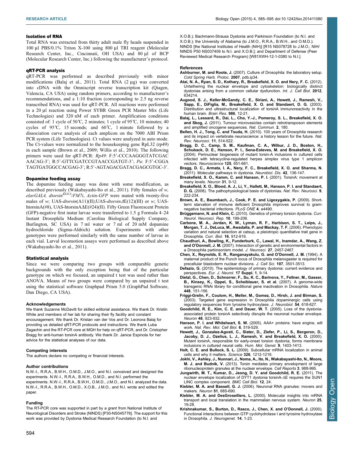#### <span id="page-10-0"></span>Isolation of RNA

Total RNA was extracted from thirty adult male fly heads suspended in 100 µl PBS/0.1% Triton X-100 using 800 µl TRI reagent (Molecular Research Center, Inc., Cincinnati, OH USA) and 80 µl of BCP (Molecular Research Center, Inc.) following the manufacturer's protocol.

#### qRT-PCR analysis

qRT-PCR was performed as described previously with minor modifications (Balaj et al., 2011). Total RNA (2 µg) was converted into cDNA with the Omniscript reverse transcription kit (Qiagen, Valencia, CA USA) using random primers, according to manufacturer's recommendations, and a 1:10 fraction (corresponding to 2.5 ng reverse transcribed RNA) was used for qRT-PCR. All reactions were performed in a 20 µl reaction using Power SYBR Green PCR Master Mix (Life Technologies) and 320 nM of each primer. Amplification conditions consisted of: 1 cycle of 50˚C, 2 minutes; 1 cycle of 95˚C, 10 minutes; 40 cycles of 95˚C, 15 seconds; and 60˚C, 1 minute followed by a dissociation curve analysis of each amplicon on the 7000 ABI Prism PCR system (Life Technologies). Ct values were analyzed in auto mode. The Ct-values were normalized to the housekeeping gene RpL32 (rp49) in each sample (Brown et al., 2009; [Willis et al., 2010\)](#page-11-0). The following primers were used for qRT-PCR: Rp49: F:5'-CCCAAGGGTATCGAC AACAG-3'; R:5'-GTTCGATCCGTAACCGATGT-3'; Pu: F:5'-CGGA TAGTGATGGCCACGAG-3'; R:5'-AGTAGACGATACGAGCGTGC-3'.

#### Dopamine feeding assay

The dopamine feeding assay was done with some modification, as described previously [\(Wakabayashi-Ito et al., 2011](#page-11-0)). Fifty females of w,<br>elavGAL4, dtorsin<sup>KO13</sup>/FM7i, Actin-GFP were mated with twenty-five males of w; UAS-dtorsin(A11)(II);UAS-dtorsin $\Delta E(12)$ (III) or w; UAShtorsinA(#8), UAS-htorsinADE(#24)(II). Fifty Green Fluorescent Protein (GFP)-negative first instar larvae were transferred to 1.5 g Formula 4–24 Instant Drosophila Medium (Carolina Biological Supply Company, Burlington, SC USA) in 7 ml water or 7 ml of 20 mM dopamine hydrochloride (Sigma-Aldrich) solution. Experiments with other genotypes were performed similarly with the same number of larvae in each vial. Larval locomotion assays were performed as described above ([Wakabayashi-Ito et al., 2011\)](#page-11-0).

#### Statistical analysis

Since we were comparing two groups with comparable genetic backgrounds with the only exception being that of the particular genotype on which we focused, an unpaired t test was used rather than ANOVA. Means of two groups were compared by an unpaired t test using the statistical software Graphpad Prism 5.0 (GraphPad Software, Dan Diego, CA USA).

#### Acknowledgements

We thank Suzanne McDavitt for skilled editorial assistance. We thank Dr. Kristin White and members of her lab for sharing their fly facility and constant encouragement. We thank Dr. Kristan van der Vos and Dr. Leonora Balaj for providing us detailed qRT-PCR protocols and instructions. We thank Luba Zagachin and the RT-PCR core at MGH for help on qRT-PCR, and Dr. Cristopher Bragg for anti-human torsinA antibody. We thank Dr. Janice Espinola for her advice for the statistical analyses of our data.

#### Competing interests

The authors declare no competing or financial interests.

#### Author contributions

N.W.-I., R.R.A., B.W.H., O.M.D., J.M.O., and N.I. conceived and designed the experiments. N.W.-I., R.R.A., B.W.H., O.M.D., and N.I. performed the experiments. N.W.-I., R.R.A., B.W.H., O.M.D., J.M.O., and N.I. analyzed the data. N.W.-I., R.R.A., B.W.H., O.M.D., X.O.B., J.M.O., and N.I. wrote and edited the paper.

#### Funding

The RT-PCR core was supported in part by a grant from National Institute of Neurological Disorders and Stroke (NINDS) [P30-NS045776]. The support for this work was provided by Dystonia Medical Research Foundation (to N.I. and

X.O.B.); Bachmann-Strauss Dystonia and Parkinson Foundation (to N.I. and X.O.B.); the University of Alabama (to J.M.O., R.R.A., B.W.H., and O.M.D.); NINDS [the National Institutes of Health (NIH)] [R15 NS078728 to J.M.O.; NIH/ NINDS P50 NS037409 to N.I. and X.O.B.]; and Department of Defense (Peer Reviewed Medical Research Program) [W81XWH-12-1-0380 to N.I.].

#### References

- Ashburner, M. and Roote, J. [\(2007\). Culture of Drosophila: the laboratory setup.](http://dx.doi.org/10.1101/pdb.ip34) [Cold Spring Harb. Protoc](http://dx.doi.org/10.1101/pdb.ip34). 2007. pdb.in34.
- [Atai, N. A., Ryan, S. D., Kothary, R., Breakefield, X. O. and Nery, F. C.](http://dx.doi.org/10.1155/2012/634214) (2012). [Untethering the nuclear envelope and cytoskeleton: biologically distinct](http://dx.doi.org/10.1155/2012/634214) [dystonias arising from a common cellular dysfunction.](http://dx.doi.org/10.1155/2012/634214) Int. J. Cell Biol. 2012, [634214.](http://dx.doi.org/10.1155/2012/634214)
- [Augood, S. J., Keller-McGandy, C. E., Siriani, A., Hewett, J., Ramesh, V.,](http://dx.doi.org/10.1016/S0006-8993(03)03164-0) [Sapp, E., DiFiglia, M., Breakefield, X. O. and Standaert, D. G.](http://dx.doi.org/10.1016/S0006-8993(03)03164-0) (2003). [Distribution and ultrastructural localization of torsinA immunoreactivity in the](http://dx.doi.org/10.1016/S0006-8993(03)03164-0) [human brain.](http://dx.doi.org/10.1016/S0006-8993(03)03164-0) Brain Res. 986, 12-21.
- [Balaj, L., Lessard, R., Dai, L., Cho, Y.-J., Pomeroy, S. L., Breakefield, X. O.](http://dx.doi.org/10.1038/ncomms1180) and Skog, J. [\(2011\). Tumour microvesicles contain retrotransposon elements](http://dx.doi.org/10.1038/ncomms1180) [and amplified oncogene sequences.](http://dx.doi.org/10.1038/ncomms1180) Nat. Commun. 2, 180.
- Bellen, H. J., Tong, C. and Tsuda, H. [\(2010\). 100 years of Drosophila research](http://dx.doi.org/10.1038/nrn2839) [and its impact on vertebrate neuroscience: a history lesson for the future.](http://dx.doi.org/10.1038/nrn2839) Nat. [Rev. Neurosci.](http://dx.doi.org/10.1038/nrn2839) 11, 514-522.
- [Bragg, D. C., Camp, S. M., Kaufman, C. A., Wilbur, J. D., Boston, H.,](http://dx.doi.org/10.1016/j.neuroscience.2004.01.053) [Schuback, D. E., Hanson, P. I., Sena-Esteves, M. and Breakefield, X. O.](http://dx.doi.org/10.1016/j.neuroscience.2004.01.053) [\(2004\). Perinuclear biogenesis of mutant torsin-A inclusions in cultured cells](http://dx.doi.org/10.1016/j.neuroscience.2004.01.053) [infected with tetracycline-regulated herpes simplex virus type 1 amplicon](http://dx.doi.org/10.1016/j.neuroscience.2004.01.053) vectors. [Neuroscience](http://dx.doi.org/10.1016/j.neuroscience.2004.01.053) 125, 651-661.
- [Bragg, D. C., Armata, I. A., Nery, F. C., Breakefield, X. O. and Sharma, N.](http://dx.doi.org/10.1016/j.nbd.2010.11.015) [\(2011\). Molecular pathways in dystonia.](http://dx.doi.org/10.1016/j.nbd.2010.11.015) Neurobiol. Dis. 42, 136-147.
- [Breakefield, X. O., Kamm, C. and Hanson, P. I.](http://dx.doi.org/10.1016/S0896-6273(01)00350-6) (2001). TorsinA: movement at [many levels.](http://dx.doi.org/10.1016/S0896-6273(01)00350-6) Neuron 31, 9-12.
- [Breakefield, X. O., Blood, A. J., Li, Y., Hallett, M., Hanson, P. I. and Standaert,](http://dx.doi.org/10.1038/nrn2337) D. G. [\(2008\). The pathophysiological basis of dystonias.](http://dx.doi.org/10.1038/nrn2337) Nat. Rev. Neurosci. 9, [222-234.](http://dx.doi.org/10.1038/nrn2337)
- [Brown, A. E., Baumbach, J., Cook, P. E. and Ligoxygakis, P.](http://dx.doi.org/10.1371/journal.pone.0004490) (2009). Short[term starvation of immune deficient Drosophila improves survival to gram](http://dx.doi.org/10.1371/journal.pone.0004490)[negative bacterial infections.](http://dx.doi.org/10.1371/journal.pone.0004490) PLoS ONE 4, e4490.
- Brüggemann, N. and Klein, C. [\(2010\). Genetics of primary torsion dystonia.](http://dx.doi.org/10.1007/s11910-010-0107-5) Curr. [Neurol. Neurosci. Rep.](http://dx.doi.org/10.1007/s11910-010-0107-5) 10, 199-206.
- [Carbone, M. A., Jordan, K. W., Lyman, R. F., Harbison, S. T., Leips, J.,](http://dx.doi.org/10.1016/j.cub.2006.03.051) [Morgan, T. J., DeLuca, M., Awadalla, P. and Mackay, T. F.](http://dx.doi.org/10.1016/j.cub.2006.03.051) (2006). Phenotypic [variation and natural selection at catsup, a pleiotropic quantitative trait gene in](http://dx.doi.org/10.1016/j.cub.2006.03.051) [Drosophila.](http://dx.doi.org/10.1016/j.cub.2006.03.051) Curr. Biol. 16, 912-919.
- [Chaudhuri, A., Bowling, K., Funderburk, C., Lawal, H., Inamdar, A., Wang, Z.](http://dx.doi.org/10.1523/JNEUROSCI.4239-06.2007) and O'Donnell, J. M. [\(2007\). Interaction of genetic and environmental factors in](http://dx.doi.org/10.1523/JNEUROSCI.4239-06.2007) [a Drosophila parkinsonism model.](http://dx.doi.org/10.1523/JNEUROSCI.4239-06.2007) J. Neurosci. 27, 2457-2467.
- Chen, X., Reynolds, E. R., Ranganayakulu, G. and O'Donnell, J. M. (1994). A maternal product of the Punch locus of Drosophila melanogaster is required for precellular blastoderm nuclear divisions. J. Cell Sci. 107, 3501-3513.
- Defazio, G. [\(2010\). The epidemiology of primary dystonia: current evidence and](http://dx.doi.org/10.1111/j.1468-1331.2010.03053.x) perspectives. [Eur. J. Neurol.](http://dx.doi.org/10.1111/j.1468-1331.2010.03053.x) 17 Suppl. 1, 9-14.
- [Dietzl, G., Chen, D., Schnorrer, F., Su, K. C., Barinova, Y., Fellner, M., Gasser,](http://dx.doi.org/10.1038/nature05954) [B., Kinsey, K., Oppel, S., Scheiblauer, S. et al.](http://dx.doi.org/10.1038/nature05954) (2007). A genome-wide [transgenic RNAi library for conditional gene inactivation in Drosophila.](http://dx.doi.org/10.1038/nature05954) Nature 448[, 151-156.](http://dx.doi.org/10.1038/nature05954)
- [Friggi-Grelin, F., Coulom, H., Meller, M., Gomez, D., Hirsh, J. and Birman, S.](http://dx.doi.org/10.1002/neu.10185) [\(2003\). Targeted gene expression in Drosophila dopaminergic cells using](http://dx.doi.org/10.1002/neu.10185) [regulatory sequences from tyrosine hydroxylase.](http://dx.doi.org/10.1002/neu.10185) J. Neurobiol. 54, 618-627.
- [Goodchild, R. E., Kim, C. E. and Dauer, W. T.](http://dx.doi.org/10.1016/j.neuron.2005.11.010) (2005). Loss of the dystonia[associated protein torsinA selectively disrupts the neuronal nuclear envelope.](http://dx.doi.org/10.1016/j.neuron.2005.11.010) Neuron 48[, 923-932.](http://dx.doi.org/10.1016/j.neuron.2005.11.010)
- Hanson, P. I. and Whiteheart, S. W. [\(2005\). AAA+ proteins: have engine, will](http://dx.doi.org/10.1038/nrm1684) work. [Nat. Rev. Mol. Cell Biol.](http://dx.doi.org/10.1038/nrm1684) 6, 519-529.
- [Hewett, J., Gonzalez-Agosti, C., Slater, D., Ziefer, P., Li, S., Bergeron, D.,](http://dx.doi.org/10.1093/hmg/9.9.1403) [Jacoby, D. J., Ozelius, L. J., Ramesh, V. and Breakefield, X. O.](http://dx.doi.org/10.1093/hmg/9.9.1403) (2000). [Mutant torsinA, responsible for early-onset torsion dystonia, forms membrane](http://dx.doi.org/10.1093/hmg/9.9.1403) [inclusions in cultured neural cells.](http://dx.doi.org/10.1093/hmg/9.9.1403) Hum. Mol. Genet. 9, 1403-1413.
- Holt, C. E. and Bullock, S. L. [\(2009\). Subcellular mRNA localization in animal](http://dx.doi.org/10.1126/science.1176488) [cells and why it matters.](http://dx.doi.org/10.1126/science.1176488) Science 326, 1212-1216.
- [Jokhi, V., Ashley, J., Nunnari, J., Noma, A., Ito, N., Wakabayashi-Ito, N., Moore,](http://dx.doi.org/10.1016/j.celrep.2013.03.015) M. J. and Budnik, V. [\(2013\). Torsin mediates primary envelopment of large](http://dx.doi.org/10.1016/j.celrep.2013.03.015) [ribonucleoprotein granules at the nuclear envelope.](http://dx.doi.org/10.1016/j.celrep.2013.03.015) Cell Reports 3, 988-995.
- [Jungwirth, M. T., Kumar, D., Jeong, D. Y. and Goodchild, R. E.](http://dx.doi.org/10.1186/1471-2121-12-24) (2011). The [nuclear envelope localization of DYT1 dystonia torsinA-](http://dx.doi.org/10.1186/1471-2121-12-24) $\Delta E$  requires the SUN1 [LINC complex component.](http://dx.doi.org/10.1186/1471-2121-12-24) BMC Cell Biol. 12, 24.
- Kiebler, M. A. and Bassell, G. J. [\(2006\). Neuronal RNA granules: movers and](http://dx.doi.org/10.1016/j.neuron.2006.08.021) makers. Neuron 51[, 685-690.](http://dx.doi.org/10.1016/j.neuron.2006.08.021)
- [Kiebler, M. A. and DesGroseillers, L.](http://dx.doi.org/10.1016/S0896-6273(00)80868-5) (2000). Molecular insights into mRNA [transport and local translation in the mammalian nervous system.](http://dx.doi.org/10.1016/S0896-6273(00)80868-5) Neuron 25, [19-28.](http://dx.doi.org/10.1016/S0896-6273(00)80868-5)
- [Krishnakumar, S., Burton, D., Rasco, J., Chen, X. and O'Donnell, J.](http://dx.doi.org/10.3109/01677060009083474) (2000). [Functional interactions between GTP cyclohydrolase I and tyrosine hydroxylase](http://dx.doi.org/10.3109/01677060009083474) in Drosophila. [J. Neurogenet.](http://dx.doi.org/10.3109/01677060009083474) 14, 1-23.